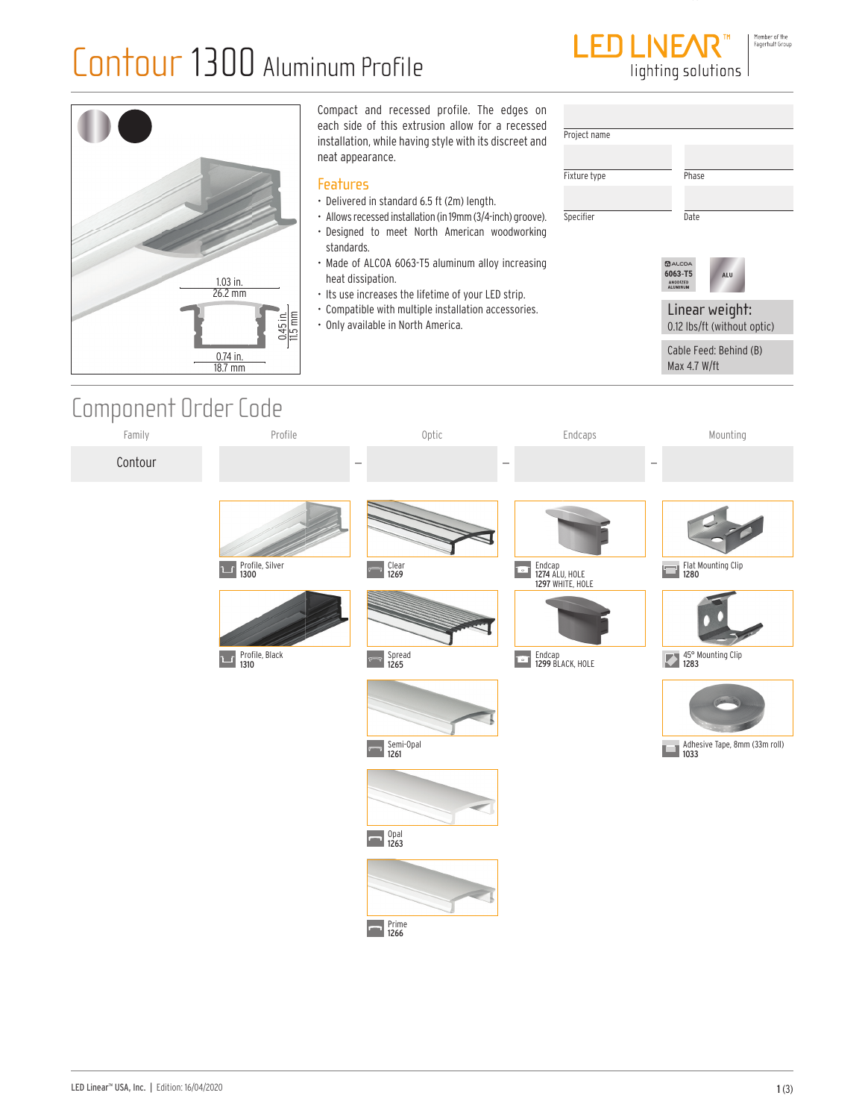

|                                                                       | Compact and recessed profile. The edges on<br>each side of this extrusion allow for a recessed                                                                                                                                                    | Project name              |                                                         |
|-----------------------------------------------------------------------|---------------------------------------------------------------------------------------------------------------------------------------------------------------------------------------------------------------------------------------------------|---------------------------|---------------------------------------------------------|
|                                                                       | installation, while having style with its discreet and<br>neat appearance.                                                                                                                                                                        |                           |                                                         |
|                                                                       | <b>Features</b><br>• Delivered in standard 6.5 ft (2m) length.<br>• Allows recessed installation (in 19mm (3/4-inch) groove).<br>. Designed to meet North American woodworking<br>standards.<br>• Made of ALCOA 6063-T5 aluminum alloy increasing | Fixture type<br>Specifier | Phase<br>Date<br><b>BALCOA</b><br>6063-T5<br><b>ALU</b> |
| $1.03$ in.<br>26.2 mm                                                 | heat dissipation.<br>• Its use increases the lifetime of your LED strip.                                                                                                                                                                          |                           | ANODIZED<br><b>ALUMINUM</b>                             |
| $\frac{0.45 \text{ in.}}{11.5 \text{ mm}}$<br>$0.74$ in.<br>$18.7$ mm | • Compatible with multiple installation accessories.<br>• Only available in North America.                                                                                                                                                        |                           | Linear weight:<br>0.12 lbs/ft (without optic)           |
|                                                                       |                                                                                                                                                                                                                                                   |                           | Cable Feed: Behind (B)<br>Max 4.7 W/ft                  |

### Component Order Code

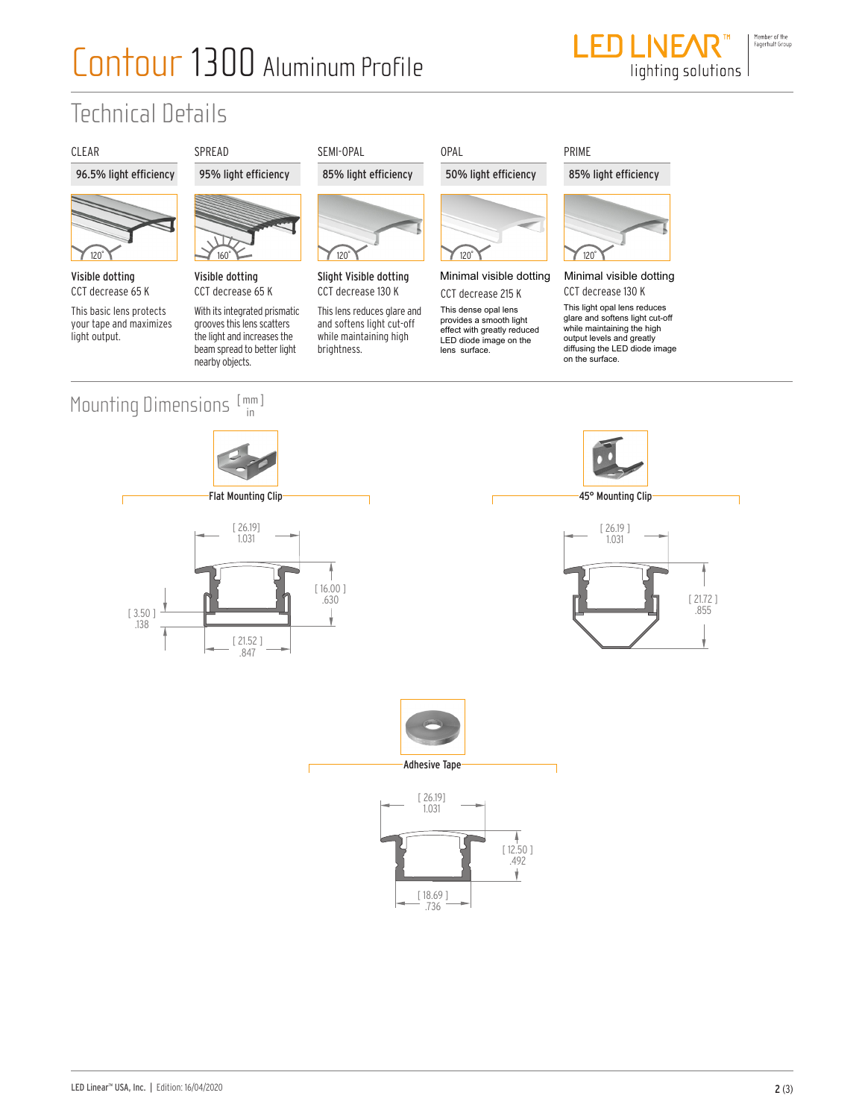# Contour 1300 Aluminum Profile



### Technical Details